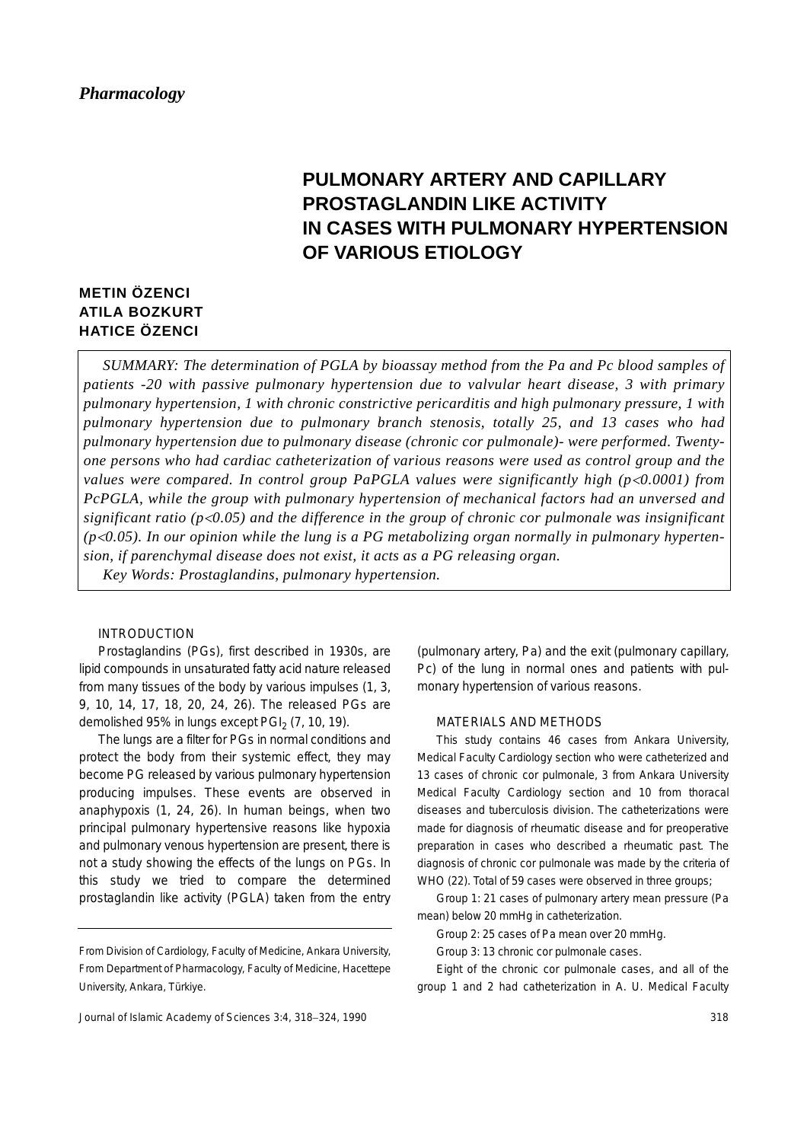# **PULMONARY ARTERY AND CAPILLARY PROSTAGLANDIN LIKE ACTIVITY IN CASES WITH PULMONARY HYPERTENSION OF VARIOUS ETIOLOGY**

## **METIN ÖZENCI ATILA BOZKURT HATICE ÖZENCI**

*SUMMARY: The determination of PGLA by bioassay method from the Pa and Pc blood samples of patients -20 with passive pulmonary hypertension due to valvular heart disease, 3 with primary pulmonary hypertension, 1 with chronic constrictive pericarditis and high pulmonary pressure, 1 with pulmonary hypertension due to pulmonary branch stenosis, totally 25, and 13 cases who had pulmonary hypertension due to pulmonary disease (chronic cor pulmonale)- were performed. Twentyone persons who had cardiac catheterization of various reasons were used as control group and the values were compared. In control group PaPGLA values were significantly high (p<0.0001) from PcPGLA, while the group with pulmonary hypertension of mechanical factors had an unversed and significant ratio (p*<*0.05) and the difference in the group of chronic cor pulmonale was insignificant (p*<*0.05). In our opinion while the lung is a PG metabolizing organ normally in pulmonary hypertension, if parenchymal disease does not exist, it acts as a PG releasing organ.*

*Key Words: Prostaglandins, pulmonary hypertension.*

### INTRODUCTION

Prostaglandins (PGs), first described in 1930s, are lipid compounds in unsaturated fatty acid nature released from many tissues of the body by various impulses (1, 3, 9, 10, 14, 17, 18, 20, 24, 26). The released PGs are demolished 95% in lungs except  $PGI<sub>2</sub>$  (7, 10, 19).

The lungs are a filter for PGs in normal conditions and protect the body from their systemic effect, they may become PG released by various pulmonary hypertension producing impulses. These events are observed in anaphypoxis (1, 24, 26). In human beings, when two principal pulmonary hypertensive reasons like hypoxia and pulmonary venous hypertension are present, there is not a study showing the effects of the lungs on PGs. In this study we tried to compare the determined prostaglandin like activity (PGLA) taken from the entry

Journal of Islamic Academy of Sciences 3:4, 318−324, 1990

(pulmonary artery, Pa) and the exit (pulmonary capillary, Pc) of the lung in normal ones and patients with pulmonary hypertension of various reasons.

#### MATERIALS AND METHODS

This study contains 46 cases from Ankara University, Medical Faculty Cardiology section who were catheterized and 13 cases of chronic cor pulmonale, 3 from Ankara University Medical Faculty Cardiology section and 10 from thoracal diseases and tuberculosis division. The catheterizations were made for diagnosis of rheumatic disease and for preoperative preparation in cases who described a rheumatic past. The diagnosis of chronic cor pulmonale was made by the criteria of WHO (22). Total of 59 cases were observed in three groups;

Group 1: 21 cases of pulmonary artery mean pressure (Pa mean) below 20 mmHg in catheterization.

Group 2: 25 cases of Pa mean over 20 mmHg.

Group 3: 13 chronic cor pulmonale cases.

Eight of the chronic cor pulmonale cases, and all of the group 1 and 2 had catheterization in A. U. Medical Faculty

From Division of Cardiology, Faculty of Medicine, Ankara University, From Department of Pharmacology, Faculty of Medicine, Hacettepe University, Ankara, Türkiye.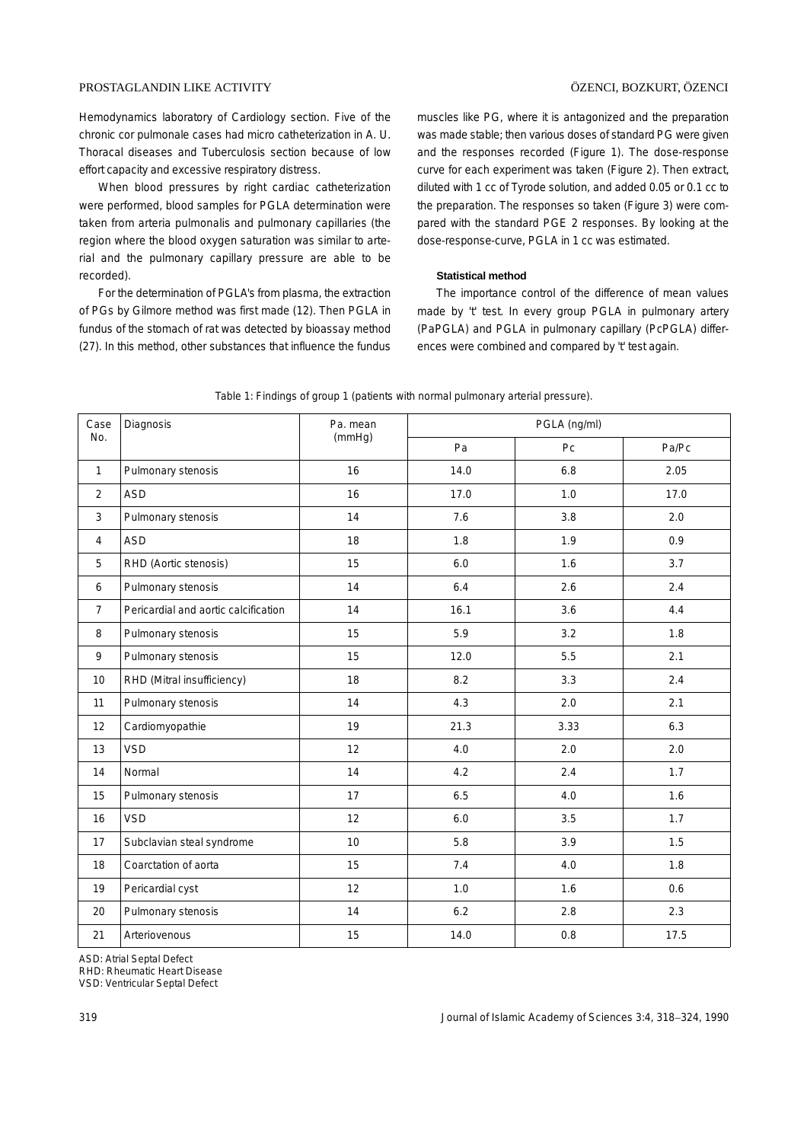#### PROSTAGLANDIN LIKE ACTIVITY ÖZENCI, BOZKURT, ÖZENCI

Hemodynamics laboratory of Cardiology section. Five of the chronic cor pulmonale cases had micro catheterization in A. U. Thoracal diseases and Tuberculosis section because of low effort capacity and excessive respiratory distress.

When blood pressures by right cardiac catheterization were performed, blood samples for PGLA determination were taken from arteria pulmonalis and pulmonary capillaries (the region where the blood oxygen saturation was similar to arterial and the pulmonary capillary pressure are able to be recorded).

For the determination of PGLA's from plasma, the extraction of PGs by Gilmore method was first made (12). Then PGLA in fundus of the stomach of rat was detected by bioassay method (27). In this method, other substances that influence the fundus muscles like PG, where it is antagonized and the preparation was made stable; then various doses of standard PG were given and the responses recorded (Figure 1). The dose-response curve for each experiment was taken (Figure 2). Then extract, diluted with 1 cc of Tyrode solution, and added 0.05 or 0.1 cc to the preparation. The responses so taken (Figure 3) were compared with the standard PGE 2 responses. By looking at the dose-response-curve, PGLA in 1 cc was estimated.

#### **Statistical method**

The importance control of the difference of mean values made by 't' test. In every group PGLA in pulmonary artery (PaPGLA) and PGLA in pulmonary capillary (PcPGLA) differences were combined and compared by 't' test again.

| Case           | Diagnosis                            | Pa. mean<br>(mmHg) | PGLA (ng/ml) |      |       |
|----------------|--------------------------------------|--------------------|--------------|------|-------|
| No.            |                                      |                    | Pa           | Pc   | Pa/Pc |
| $\mathbf{1}$   | Pulmonary stenosis                   | 16                 | 14.0         | 6.8  | 2.05  |
| 2              | <b>ASD</b>                           | 16                 | 17.0         | 1.0  | 17.0  |
| 3              | Pulmonary stenosis                   | 14                 | 7.6          | 3.8  | 2.0   |
| $\overline{4}$ | <b>ASD</b>                           | 18                 | 1.8          | 1.9  | 0.9   |
| 5              | RHD (Aortic stenosis)                | 15                 | 6.0          | 1.6  | 3.7   |
| 6              | Pulmonary stenosis                   | 14                 | 6.4          | 2.6  | 2.4   |
| $\overline{7}$ | Pericardial and aortic calcification | 14                 | 16.1         | 3.6  | 4.4   |
| 8              | Pulmonary stenosis                   | 15                 | 5.9          | 3.2  | 1.8   |
| 9              | Pulmonary stenosis                   | 15                 | 12.0         | 5.5  | 2.1   |
| 10             | RHD (Mitral insufficiency)           | 18                 | 8.2          | 3.3  | 2.4   |
| 11             | Pulmonary stenosis                   | 14                 | 4.3          | 2.0  | 2.1   |
| 12             | Cardiomyopathie                      | 19                 | 21.3         | 3.33 | 6.3   |
| 13             | <b>VSD</b>                           | 12                 | 4.0          | 2.0  | 2.0   |
| 14             | Normal                               | 14                 | 4.2          | 2.4  | 1.7   |
| 15             | Pulmonary stenosis                   | 17                 | 6.5          | 4.0  | 1.6   |
| 16             | <b>VSD</b>                           | 12                 | 6.0          | 3.5  | 1.7   |
| 17             | Subclavian steal syndrome            | 10                 | 5.8          | 3.9  | 1.5   |
| 18             | Coarctation of aorta                 | 15                 | 7.4          | 4.0  | 1.8   |
| 19             | Pericardial cyst                     | 12                 | 1.0          | 1.6  | 0.6   |
| 20             | Pulmonary stenosis                   | 14                 | 6.2          | 2.8  | 2.3   |
| 21             | Arteriovenous                        | 15                 | 14.0         | 0.8  | 17.5  |

Table 1: Findings of group 1 (patients with normal pulmonary arterial pressure).

ASD: Atrial Septal Defect

RHD: Rheumatic Heart Disease

VSD: Ventricular Septal Defect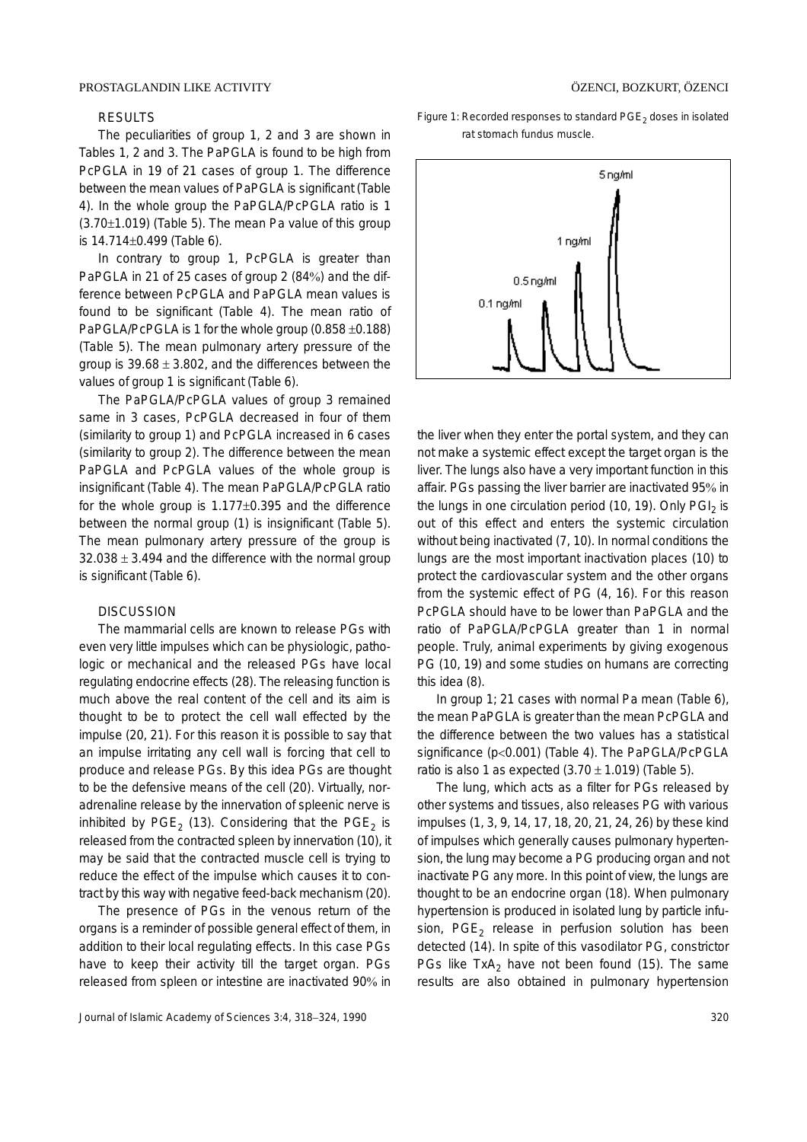#### PROSTAGLANDIN LIKE ACTIVITY

#### RESULTS

The peculiarities of group 1, 2 and 3 are shown in Tables 1, 2 and 3. The PaPGLA is found to be high from PcPGLA in 19 of 21 cases of group 1. The difference between the mean values of PaPGLA is significant (Table 4). In the whole group the PaPGLA/PcPGLA ratio is 1  $(3.70±1.019)$  (Table 5). The mean Pa value of this group is 14.714±0.499 (Table 6).

In contrary to group 1, PcPGLA is greater than PaPGLA in 21 of 25 cases of group 2 (84%) and the difference between PcPGLA and PaPGLA mean values is found to be significant (Table 4). The mean ratio of PaPGLA/PcPGLA is 1 for the whole group (0.858 ±0.188) (Table 5). The mean pulmonary artery pressure of the group is  $39.68 \pm 3.802$ , and the differences between the values of group 1 is significant (Table 6).

The PaPGLA/PcPGLA values of group 3 remained same in 3 cases, PcPGLA decreased in four of them (similarity to group 1) and PcPGLA increased in 6 cases (similarity to group 2). The difference between the mean PaPGLA and PcPGLA values of the whole group is insignificant (Table 4). The mean PaPGLA/PcPGLA ratio for the whole group is 1.177±0.395 and the difference between the normal group (1) is insignificant (Table 5). The mean pulmonary artery pressure of the group is  $32.038 \pm 3.494$  and the difference with the normal group is significant (Table 6).

#### **DISCUSSION**

The mammarial cells are known to release PGs with even very little impulses which can be physiologic, pathologic or mechanical and the released PGs have local regulating endocrine effects (28). The releasing function is much above the real content of the cell and its aim is thought to be to protect the cell wall effected by the impulse (20, 21). For this reason it is possible to say that an impulse irritating any cell wall is forcing that cell to produce and release PGs. By this idea PGs are thought to be the defensive means of the cell (20). Virtually, noradrenaline release by the innervation of spleenic nerve is inhibited by  $PGE_2$  (13). Considering that the  $PGE_2$  is released from the contracted spleen by innervation (10), it may be said that the contracted muscle cell is trying to reduce the effect of the impulse which causes it to contract by this way with negative feed-back mechanism (20).

The presence of PGs in the venous return of the organs is a reminder of possible general effect of them, in addition to their local regulating effects. In this case PGs have to keep their activity till the target organ. PGs released from spleen or intestine are inactivated 90% in Figure 1: Recorded responses to standard  $PGE<sub>2</sub>$  doses in isolated rat stomach fundus muscle.



the liver when they enter the portal system, and they can not make a systemic effect except the target organ is the liver. The lungs also have a very important function in this affair. PGs passing the liver barrier are inactivated 95% in the lungs in one circulation period  $(10, 19)$ . Only PGI<sub>2</sub> is out of this effect and enters the systemic circulation without being inactivated (7, 10). In normal conditions the lungs are the most important inactivation places (10) to protect the cardiovascular system and the other organs from the systemic effect of PG (4, 16). For this reason PcPGLA should have to be lower than PaPGLA and the ratio of PaPGLA/PcPGLA greater than 1 in normal people. Truly, animal experiments by giving exogenous PG (10, 19) and some studies on humans are correcting this idea (8).

In group 1; 21 cases with normal Pa mean (Table 6), the mean PaPGLA is greater than the mean PcPGLA and the difference between the two values has a statistical significance (p<0.001) (Table 4). The PaPGLA/PcPGLA ratio is also 1 as expected  $(3.70 \pm 1.019)$  (Table 5).

The lung, which acts as a filter for PGs released by other systems and tissues, also releases PG with various impulses (1, 3, 9, 14, 17, 18, 20, 21, 24, 26) by these kind of impulses which generally causes pulmonary hypertension, the lung may become a PG producing organ and not inactivate PG any more. In this point of view, the lungs are thought to be an endocrine organ (18). When pulmonary hypertension is produced in isolated lung by particle infusion,  $PGE<sub>2</sub>$  release in perfusion solution has been detected (14). In spite of this vasodilator PG, constrictor PGs like  $TxA<sub>2</sub>$  have not been found (15). The same results are also obtained in pulmonary hypertension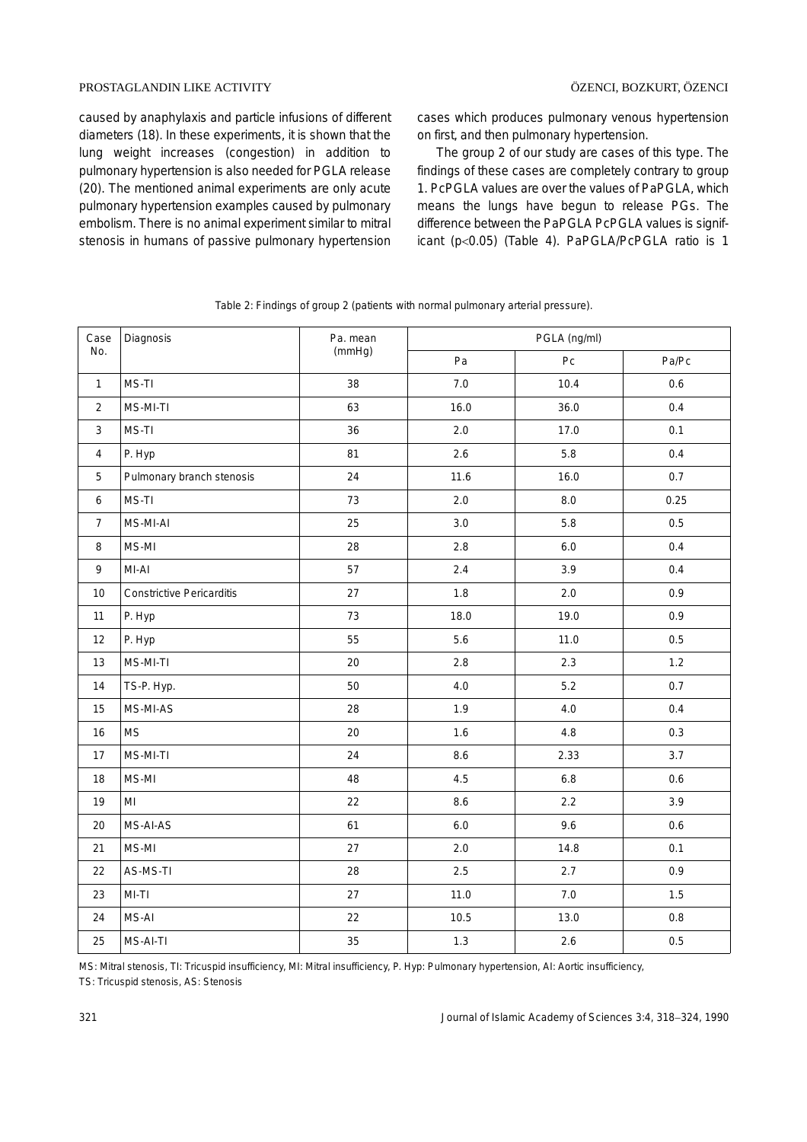#### PROSTAGLANDIN LIKE ACTIVITY ÖZENCI, BOZKURT, ÖZENCI

caused by anaphylaxis and particle infusions of different diameters (18). In these experiments, it is shown that the lung weight increases (congestion) in addition to pulmonary hypertension is also needed for PGLA release (20). The mentioned animal experiments are only acute pulmonary hypertension examples caused by pulmonary embolism. There is no animal experiment similar to mitral stenosis in humans of passive pulmonary hypertension cases which produces pulmonary venous hypertension on first, and then pulmonary hypertension.

The group 2 of our study are cases of this type. The findings of these cases are completely contrary to group 1. PcPGLA values are over the values of PaPGLA, which means the lungs have begun to release PGs. The difference between the PaPGLA PcPGLA values is significant (p<0.05) (Table 4). PaPGLA/PcPGLA ratio is 1

| Case            | Diagnosis                        | Pa. mean<br>(mmHg) | PGLA (ng/ml) |                  |         |
|-----------------|----------------------------------|--------------------|--------------|------------------|---------|
| No.             |                                  |                    | Pa           | ${\sf P}{\sf C}$ | Pa/Pc   |
| $\mathbf{1}$    | MS-TI                            | 38                 | $7.0\,$      | 10.4             | 0.6     |
| $\overline{2}$  | MS-MI-TI                         | 63                 | 16.0         | 36.0             | 0.4     |
| 3               | MS-TI                            | 36                 | 2.0          | 17.0             | 0.1     |
| $\overline{4}$  | P. Hyp                           | 81                 | 2.6          | 5.8              | 0.4     |
| 5               | Pulmonary branch stenosis        | 24                 | 11.6         | 16.0             | 0.7     |
| $6\phantom{a}$  | MS-TI                            | 73                 | 2.0          | $8.0\,$          | 0.25    |
| $7\overline{ }$ | MS-MI-AI                         | 25                 | 3.0          | 5.8              | 0.5     |
| 8               | MS-MI                            | 28                 | 2.8          | 6.0              | 0.4     |
| 9               | MI-AI                            | 57                 | 2.4          | 3.9              | 0.4     |
| 10              | <b>Constrictive Pericarditis</b> | 27                 | 1.8          | 2.0              | 0.9     |
| 11              | P. Hyp                           | 73                 | 18.0         | 19.0             | 0.9     |
| 12              | P. Hyp                           | 55                 | 5.6          | 11.0             | 0.5     |
| 13              | MS-MI-TI                         | $20\,$             | 2.8          | 2.3              | 1.2     |
| 14              | TS-P. Hyp.                       | 50                 | $4.0\,$      | $5.2$            | 0.7     |
| 15              | MS-MI-AS                         | 28                 | 1.9          | 4.0              | 0.4     |
| 16              | <b>MS</b>                        | 20                 | 1.6          | 4.8              | 0.3     |
| 17              | MS-MI-TI                         | 24                 | 8.6          | 2.33             | 3.7     |
| 18              | MS-MI                            | 48                 | 4.5          | $6.8\,$          | 0.6     |
| 19              | MI                               | 22                 | 8.6          | $2.2\,$          | 3.9     |
| 20              | MS-AI-AS                         | 61                 | 6.0          | 9.6              | 0.6     |
| 21              | MS-MI                            | 27                 | 2.0          | 14.8             | 0.1     |
| 22              | AS-MS-TI                         | 28                 | 2.5          | 2.7              | 0.9     |
| 23              | $MI-TI$                          | 27                 | 11.0         | 7.0              | 1.5     |
| 24              | MS-AI                            | 22                 | 10.5         | 13.0             | $0.8\,$ |
| 25              | MS-AI-TI                         | 35                 | 1.3          | 2.6              | 0.5     |

Table 2: Findings of group 2 (patients with normal pulmonary arterial pressure).

MS: Mitral stenosis, TI: Tricuspid insufficiency, MI: Mitral insufficiency, P. Hyp: Pulmonary hypertension, AI: Aortic insufficiency, TS: Tricuspid stenosis, AS: Stenosis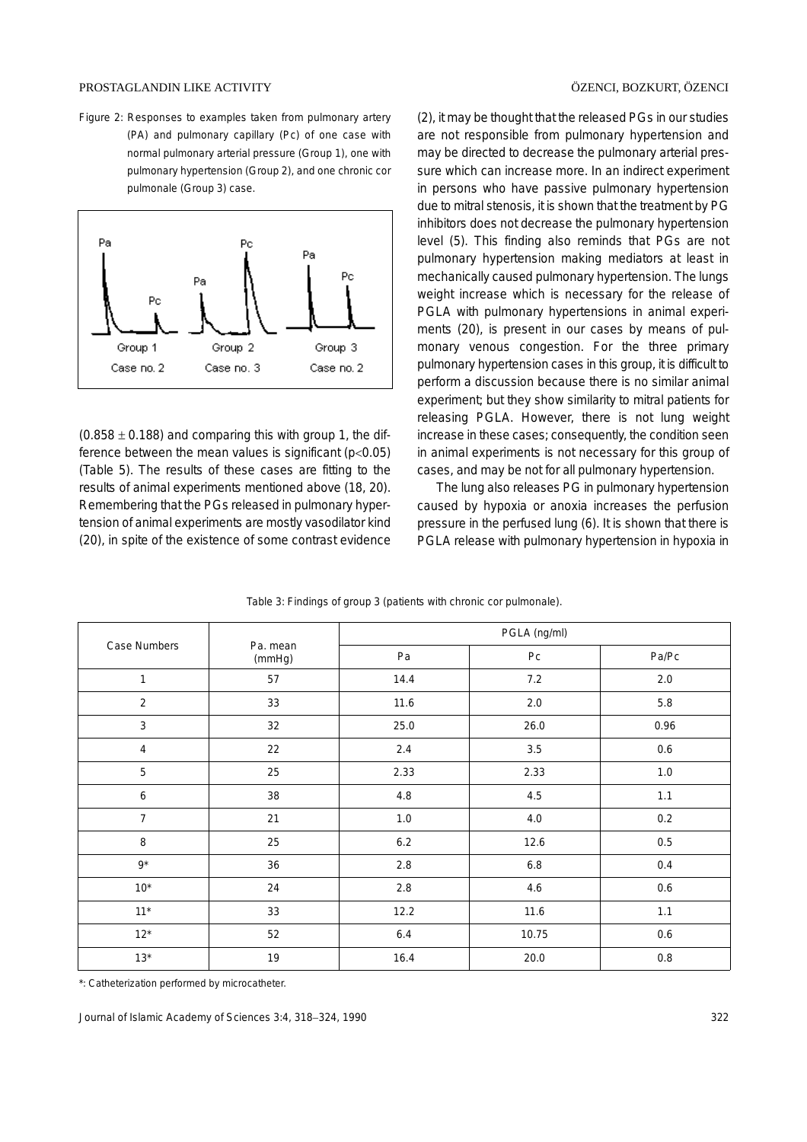Figure 2: Responses to examples taken from pulmonary artery (PA) and pulmonary capillary (Pc) of one case with normal pulmonary arterial pressure (Group 1), one with pulmonary hypertension (Group 2), and one chronic cor pulmonale (Group 3) case.



 $(0.858 \pm 0.188)$  and comparing this with group 1, the difference between the mean values is significant (p<0.05) (Table 5). The results of these cases are fitting to the results of animal experiments mentioned above (18, 20). Remembering that the PGs released in pulmonary hypertension of animal experiments are mostly vasodilator kind (20), in spite of the existence of some contrast evidence

(2), it may be thought that the released PGs in our studies are not responsible from pulmonary hypertension and may be directed to decrease the pulmonary arterial pressure which can increase more. In an indirect experiment in persons who have passive pulmonary hypertension due to mitral stenosis, it is shown that the treatment by PG inhibitors does not decrease the pulmonary hypertension level (5). This finding also reminds that PGs are not pulmonary hypertension making mediators at least in mechanically caused pulmonary hypertension. The lungs weight increase which is necessary for the release of PGLA with pulmonary hypertensions in animal experiments (20), is present in our cases by means of pulmonary venous congestion. For the three primary pulmonary hypertension cases in this group, it is difficult to perform a discussion because there is no similar animal experiment; but they show similarity to mitral patients for releasing PGLA. However, there is not lung weight increase in these cases; consequently, the condition seen in animal experiments is not necessary for this group of cases, and may be not for all pulmonary hypertension.

The lung also releases PG in pulmonary hypertension caused by hypoxia or anoxia increases the perfusion pressure in the perfused lung (6). It is shown that there is PGLA release with pulmonary hypertension in hypoxia in

|                |                    | PGLA (ng/ml) |                |         |  |
|----------------|--------------------|--------------|----------------|---------|--|
| Case Numbers   | Pa. mean<br>(mmHg) | Pa           | P <sub>C</sub> | Pa/Pc   |  |
| $\mathbf{1}$   | 57                 | 14.4         | $7.2$          | 2.0     |  |
| $\overline{2}$ | 33                 | 11.6         | $2.0\,$        | 5.8     |  |
| 3              | 32                 | 25.0         | 26.0           | 0.96    |  |
| $\overline{4}$ | 22                 | 2.4          | 3.5            | 0.6     |  |
| 5              | 25                 | 2.33         | 2.33           | 1.0     |  |
| 6              | 38                 | 4.8          | 4.5            | 1.1     |  |
| $\overline{7}$ | 21                 | $1.0\,$      | 4.0            | $0.2\,$ |  |
| 8              | 25                 | $6.2\,$      | 12.6           | 0.5     |  |
| $9*$           | 36                 | $2.8\,$      | 6.8            | 0.4     |  |
| $10^*$         | 24                 | 2.8          | 4.6            | 0.6     |  |
| $11*$          | 33                 | 12.2         | 11.6           | 1.1     |  |
| $12^{\star}$   | 52                 | $6.4$        | 10.75          | $0.6\,$ |  |
| $13*$          | 19                 | 16.4         | 20.0           | $0.8\,$ |  |

Table 3: Findings of group 3 (patients with chronic cor pulmonale).

\*: Catheterization performed by microcatheter.

Journal of Islamic Academy of Sciences 3:4, 318−324, 1990 322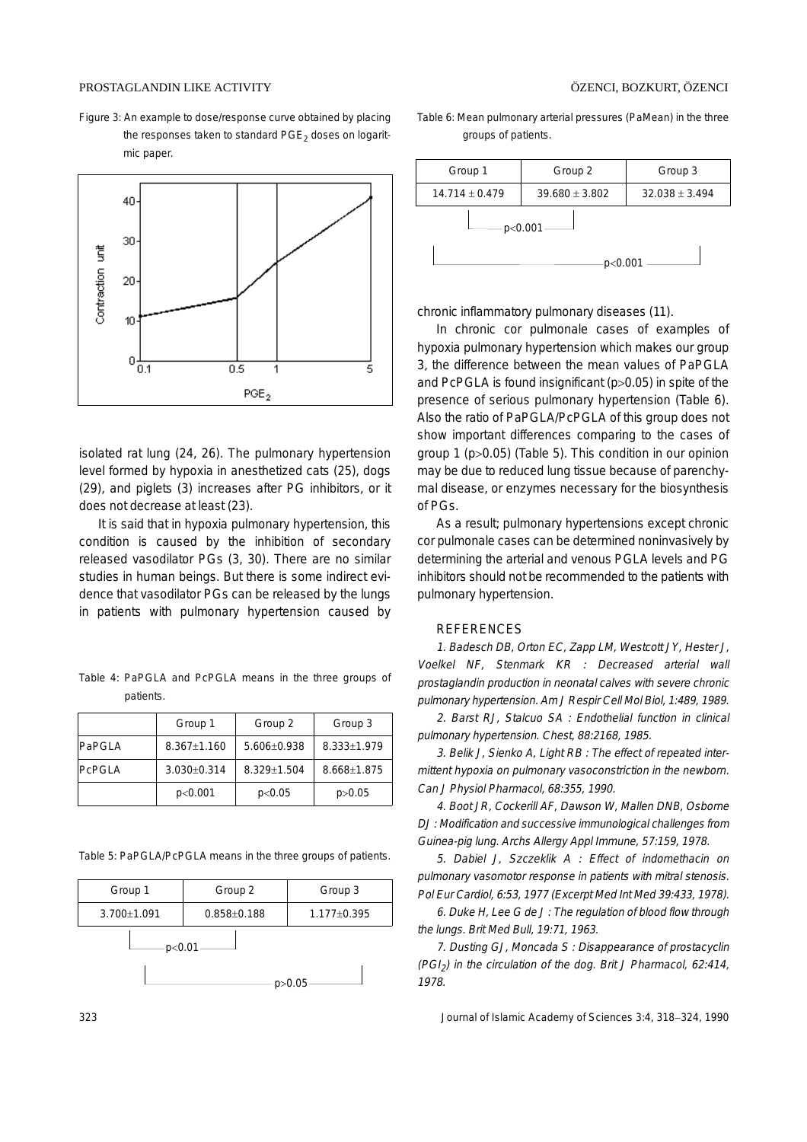#### PROSTAGLANDIN LIKE ACTIVITY ÖZENCI, BOZKURT, ÖZENCI

Figure 3: An example to dose/response curve obtained by placing the responses taken to standard  $PGE<sub>2</sub>$  doses on logaritmic paper.



isolated rat lung (24, 26). The pulmonary hypertension level formed by hypoxia in anesthetized cats (25), dogs (29), and piglets (3) increases after PG inhibitors, or it does not decrease at least (23).

It is said that in hypoxia pulmonary hypertension, this condition is caused by the inhibition of secondary released vasodilator PGs (3, 30). There are no similar studies in human beings. But there is some indirect evidence that vasodilator PGs can be released by the lungs in patients with pulmonary hypertension caused by

Table 4: PaPGLA and PcPGLA means in the three groups of patients.

|               | Group 1         | Group 2         | Group 3     |
|---------------|-----------------|-----------------|-------------|
| <b>PaPGLA</b> | $8.367 + 1.160$ | $5.606 + 0.938$ | 8.333+1.979 |
| <b>PCPGLA</b> | $3.030 + 0.314$ | $8.329 + 1.504$ | 8.668+1.875 |
|               | p<0.001         | p<0.05          | p > 0.05    |

Table 5: PaPGLA/PcPGLA means in the three groups of patients.



Table 6: Mean pulmonary arterial pressures (PaMean) in the three groups of patients.



chronic inflammatory pulmonary diseases (11).

In chronic cor pulmonale cases of examples of hypoxia pulmonary hypertension which makes our group 3, the difference between the mean values of PaPGLA and PcPGLA is found insignificant (p>0.05) in spite of the presence of serious pulmonary hypertension (Table 6). Also the ratio of PaPGLA/PcPGLA of this group does not show important differences comparing to the cases of group 1 (p>0.05) (Table 5). This condition in our opinion may be due to reduced lung tissue because of parenchymal disease, or enzymes necessary for the biosynthesis of PGs.

As a result; pulmonary hypertensions except chronic cor pulmonale cases can be determined noninvasively by determining the arterial and venous PGLA levels and PG inhibitors should not be recommended to the patients with pulmonary hypertension.

#### REFERENCES

1. Badesch DB, Orton EC, Zapp LM, Westcott JY, Hester J, Voelkel NF, Stenmark KR : Decreased arterial wall prostaglandin production in neonatal calves with severe chronic pulmonary hypertension. Am J Respir Cell Mol Biol, 1:489, 1989.

2. Barst RJ, Stalcuo SA : Endothelial function in clinical pulmonary hypertension. Chest, 88:2168, 1985.

3. Belik J, Sienko A, Light RB : The effect of repeated intermittent hypoxia on pulmonary vasoconstriction in the newborn. Can J Physiol Pharmacol, 68:355, 1990.

4. Boot JR, Cockerill AF, Dawson W, Mallen DNB, Osborne DJ : Modification and successive immunological challenges from Guinea-pig lung. Archs Allergy Appl Immune, 57:159, 1978.

5. Dabiel J, Szczeklik A : Effect of indomethacin on pulmonary vasomotor response in patients with mitral stenosis. Pol Eur Cardiol, 6:53, 1977 (Excerpt Med Int Med 39:433, 1978).

6. Duke H, Lee G de J : The regulation of blood flow through the lungs. Brit Med Bull, 19:71, 1963.

7. Dusting GJ, Moncada S : Disappearance of prostacyclin  $(PGI<sub>2</sub>)$  in the circulation of the dog. Brit J Pharmacol, 62:414, 1978.

323 Journal of Islamic Academy of Sciences 3:4, 318−324, 1990